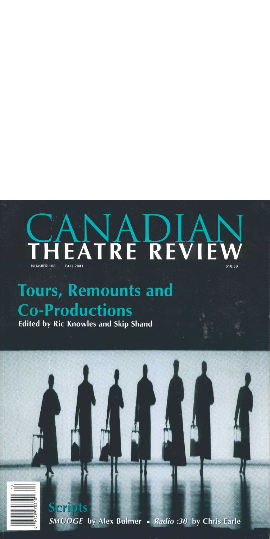## HEATRE REVIEW **NUMBER 108 FALL 2001** \$10.50

# **Tours, Remounts and Co-Productions**

### **Edited by Ric Knowles and Skip Shand**

**Scripts** SMUDGE by Alex Bulmer . Radio :30 by Chris Earle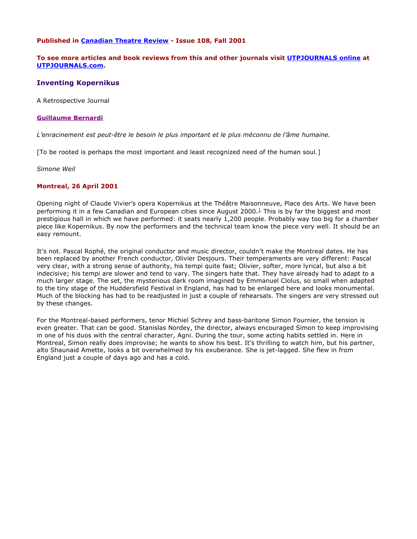#### **Published in Canadian Theatre Review - Issue 108, Fall 2001**

#### **To see more articles and book reviews from this and other journals visit UTPJOURNALS online at UTPJOURNALS.com.**

#### **Inventing Kopernikus**

A Retrospective Journal

#### **Guillaume Bernardi**

*L'enracinement est peut-être le besoin le plus important et le plus méconnu de l'âme humaine.*

[To be rooted is perhaps the most important and least recognized need of the human soul.]

*Simone Weil*

#### **Montreal, 26 April 2001**

Opening night of Claude Vivier's opera Kopernikus at the Théâtre Maisonneuve, Place des Arts. We have been performing it in a few Canadian and European cities since August 2000.<sup>1</sup> This is by far the biggest and most prestigious hall in which we have performed: it seats nearly 1,200 people. Probably way too big for a chamber piece like Kopernikus. By now the performers and the technical team know the piece very well. It should be an easy remount.

It's not. Pascal Rophé, the original conductor and music director, couldn't make the Montreal dates. He has been replaced by another French conductor, Olivier Desjours. Their temperaments are very different: Pascal very clear, with a strong sense of authority, his tempi quite fast; Olivier, softer, more lyrical, but also a bit indecisive; his tempi are slower and tend to vary. The singers hate that. They have already had to adapt to a much larger stage. The set, the mysterious dark room imagined by Emmanuel Clolus, so small when adapted to the tiny stage of the Huddersfield Festival in England, has had to be enlarged here and looks monumental. Much of the blocking has had to be readjusted in just a couple of rehearsals. The singers are very stressed out by these changes.

For the Montreal-based performers, tenor Michiel Schrey and bass-baritone Simon Fournier, the tension is even greater. That can be good. Stanislas Nordey, the director, always encouraged Simon to keep improvising in one of his duos with the central character, Agni. During the tour, some acting habits settled in. Here in Montreal, Simon really does improvise; he wants to show his best. It's thrilling to watch him, but his partner, alto Shaunaid Amette, looks a bit overwhelmed by his exuberance. She is jet-lagged. She flew in from England just a couple of days ago and has a cold.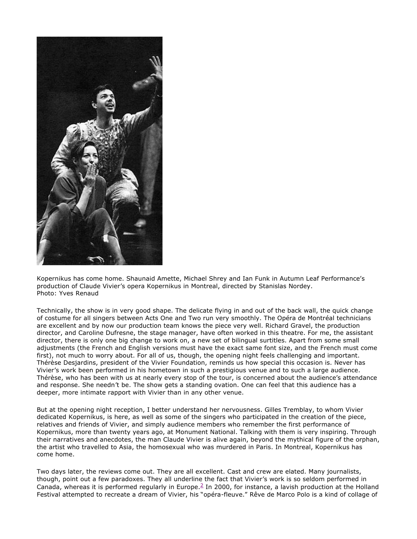

Kopernikus has come home. Shaunaid Amette, Michael Shrey and Ian Funk in Autumn Leaf Performance's production of Claude Vivier's opera Kopernikus in Montreal, directed by Stanislas Nordey. Photo: Yves Renaud

Technically, the show is in very good shape. The delicate flying in and out of the back wall, the quick change of costume for all singers between Acts One and Two run very smoothly. The Opéra de Montréal technicians are excellent and by now our production team knows the piece very well. Richard Gravel, the production director, and Caroline Dufresne, the stage manager, have often worked in this theatre. For me, the assistant director, there is only one big change to work on, a new set of bilingual surtitles. Apart from some small adjustments (the French and English versions must have the exact same font size, and the French must come first), not much to worry about. For all of us, though, the opening night feels challenging and important. Thérèse Desjardins, president of the Vivier Foundation, reminds us how special this occasion is. Never has Vivier's work been performed in his hometown in such a prestigious venue and to such a large audience. Thérèse, who has been with us at nearly every stop of the tour, is concerned about the audience's attendance and response. She needn't be. The show gets a standing ovation. One can feel that this audience has a deeper, more intimate rapport with Vivier than in any other venue.

But at the opening night reception, I better understand her nervousness. Gilles Tremblay, to whom Vivier dedicated Kopernikus, is here, as well as some of the singers who participated in the creation of the piece, relatives and friends of Vivier, and simply audience members who remember the first performance of Kopernikus, more than twenty years ago, at Monument National. Talking with them is very inspiring. Through their narratives and anecdotes, the man Claude Vivier is alive again, beyond the mythical figure of the orphan, the artist who travelled to Asia, the homosexual who was murdered in Paris. In Montreal, Kopernikus has come home.

Two days later, the reviews come out. They are all excellent. Cast and crew are elated. Many journalists, though, point out a few paradoxes. They all underline the fact that Vivier's work is so seldom performed in Canada, whereas it is performed regularly in Europe.<sup>2</sup> In 2000, for instance, a lavish production at the Holland Festival attempted to recreate a dream of Vivier, his "opéra-fleuve." Rêve de Marco Polo is a kind of collage of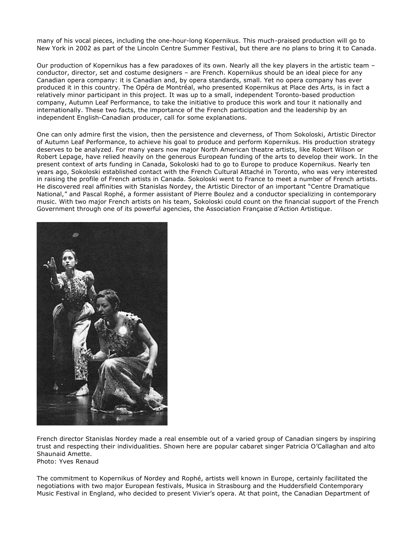many of his vocal pieces, including the one-hour-long Kopernikus. This much-praised production will go to New York in 2002 as part of the Lincoln Centre Summer Festival, but there are no plans to bring it to Canada.

Our production of Kopernikus has a few paradoxes of its own. Nearly all the key players in the artistic team – conductor, director, set and costume designers – are French. Kopernikus should be an ideal piece for any Canadian opera company: it is Canadian and, by opera standards, small. Yet no opera company has ever produced it in this country. The Opéra de Montréal, who presented Kopernikus at Place des Arts, is in fact a relatively minor participant in this project. It was up to a small, independent Toronto-based production company, Autumn Leaf Performance, to take the initiative to produce this work and tour it nationally and internationally. These two facts, the importance of the French participation and the leadership by an independent English-Canadian producer, call for some explanations.

One can only admire first the vision, then the persistence and cleverness, of Thom Sokoloski, Artistic Director of Autumn Leaf Performance, to achieve his goal to produce and perform Kopernikus. His production strategy deserves to be analyzed. For many years now major North American theatre artists, like Robert Wilson or Robert Lepage, have relied heavily on the generous European funding of the arts to develop their work. In the present context of arts funding in Canada, Sokoloski had to go to Europe to produce Kopernikus. Nearly ten years ago, Sokoloski established contact with the French Cultural Attaché in Toronto, who was very interested in raising the profile of French artists in Canada. Sokoloski went to France to meet a number of French artists. He discovered real affinities with Stanislas Nordey, the Artistic Director of an important "Centre Dramatique National," and Pascal Rophé, a former assistant of Pierre Boulez and a conductor specializing in contemporary music. With two major French artists on his team, Sokoloski could count on the financial support of the French Government through one of its powerful agencies, the Association Française d'Action Artistique.



French director Stanislas Nordey made a real ensemble out of a varied group of Canadian singers by inspiring trust and respecting their individualities. Shown here are popular cabaret singer Patricia O'Callaghan and alto Shaunaid Amette. Photo: Yves Renaud

The commitment to Kopernikus of Nordey and Rophé, artists well known in Europe, certainly facilitated the negotiations with two major European festivals, Musica in Strasbourg and the Huddersfield Contemporary Music Festival in England, who decided to present Vivier's opera. At that point, the Canadian Department of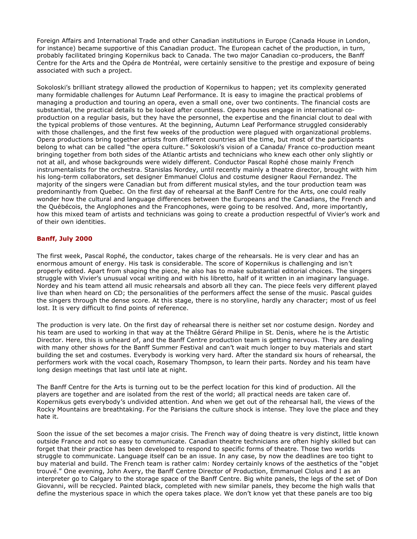Foreign Affairs and International Trade and other Canadian institutions in Europe (Canada House in London, for instance) became supportive of this Canadian product. The European cachet of the production, in turn, probably facilitated bringing Kopernikus back to Canada. The two major Canadian co-producers, the Banff Centre for the Arts and the Opéra de Montréal, were certainly sensitive to the prestige and exposure of being associated with such a project.

Sokoloski's brilliant strategy allowed the production of Kopernikus to happen; yet its complexity generated many formidable challenges for Autumn Leaf Performance. It is easy to imagine the practical problems of managing a production and touring an opera, even a small one, over two continents. The financial costs are substantial, the practical details to be looked after countless. Opera houses engage in international coproduction on a regular basis, but they have the personnel, the expertise and the financial clout to deal with the typical problems of those ventures. At the beginning, Autumn Leaf Performance struggled considerably with those challenges, and the first few weeks of the production were plagued with organizational problems. Opera productions bring together artists from different countries all the time, but most of the participants belong to what can be called "the opera culture." Sokoloski's vision of a Canada/ France co-production meant bringing together from both sides of the Atlantic artists and technicians who knew each other only slightly or not at all, and whose backgrounds were widely different. Conductor Pascal Rophé chose mainly French instrumentalists for the orchestra. Stanislas Nordey, until recently mainly a theatre director, brought with him his long-term collaborators, set designer Emmanuel Clolus and costume designer Raoul Fernandez. The majority of the singers were Canadian but from different musical styles, and the tour production team was predominantly from Quebec. On the first day of rehearsal at the Banff Centre for the Arts, one could really wonder how the cultural and language differences between the Europeans and the Canadians, the French and the Québécois, the Anglophones and the Francophones, were going to be resolved. And, more importantly, how this mixed team of artists and technicians was going to create a production respectful of Vivier's work and of their own identities.

#### **Banff, July 2000**

The first week, Pascal Rophé, the conductor, takes charge of the rehearsals. He is very clear and has an enormous amount of energy. His task is considerable. The score of Kopernikus is challenging and isn't properly edited. Apart from shaping the piece, he also has to make substantial editorial choices. The singers struggle with Vivier's unusual vocal writing and with his libretto, half of it written in an imaginary language. Nordey and his team attend all music rehearsals and absorb all they can. The piece feels very different played live than when heard on CD; the personalities of the performers affect the sense of the music. Pascal guides the singers through the dense score. At this stage, there is no storyline, hardly any character; most of us feel lost. It is very difficult to find points of reference.

The production is very late. On the first day of rehearsal there is neither set nor costume design. Nordey and his team are used to working in that way at the Théâtre Gérard Philipe in St. Denis, where he is the Artistic Director. Here, this is unheard of, and the Banff Centre production team is getting nervous. They are dealing with many other shows for the Banff Summer Festival and can't wait much longer to buy materials and start building the set and costumes. Everybody is working very hard. After the standard six hours of rehearsal, the performers work with the vocal coach, Rosemary Thompson, to learn their parts. Nordey and his team have long design meetings that last until late at night.

The Banff Centre for the Arts is turning out to be the perfect location for this kind of production. All the players are together and are isolated from the rest of the world; all practical needs are taken care of. Kopernikus gets everybody's undivided attention. And when we get out of the rehearsal hall, the views of the Rocky Mountains are breathtaking. For the Parisians the culture shock is intense. They love the place and they hate it.

Soon the issue of the set becomes a major crisis. The French way of doing theatre is very distinct, little known outside France and not so easy to communicate. Canadian theatre technicians are often highly skilled but can forget that their practice has been developed to respond to specific forms of theatre. Those two worlds struggle to communicate. Language itself can be an issue. In any case, by now the deadlines are too tight to buy material and build. The French team is rather calm: Nordey certainly knows of the aesthetics of the "objet trouvé." One evening, John Avery, the Banff Centre Director of Production, Emmanuel Clolus and I as an interpreter go to Calgary to the storage space of the Banff Centre. Big white panels, the legs of the set of Don Giovanni, will be recycled. Painted black, completed with new similar panels, they become the high walls that define the mysterious space in which the opera takes place. We don't know yet that these panels are too big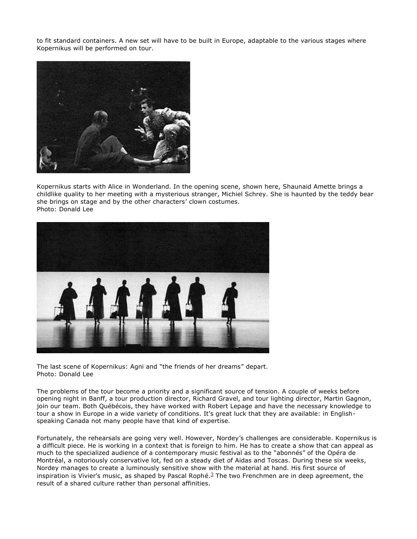to fit standard containers. A new set will have to be built in Europe, adaptable to the various stages where Kopernikus will be performed on tour.



Kopernikus starts with Alice in Wonderland. In the opening scene, shown here, Shaunaid Amette brings a childlike quality to her meeting with a mysterious stranger, Michiel Schrey. She is haunted by the teddy bear she brings on stage and by the other characters' clown costumes. Photo: Donald Lee



The last scene of Kopernikus: Agni and "the friends of her dreams" depart. Photo: Donald Lee

The problems of the tour become a priority and a significant source of tension. A couple of weeks before opening night in Banff, a tour production director, Richard Gravel, and tour lighting director, Martin Gagnon, join our team. Both Québécois, they have worked with Robert Lepage and have the necessary knowledge to tour a show in Europe in a wide variety of conditions. It's great luck that they are available: in Englishspeaking Canada not many people have that kind of expertise.

Fortunately, the rehearsals are going very well. However, Nordey's challenges are considerable. Kopernikus is a difficult piece. He is working in a context that is foreign to him. He has to create a show that can appeal as much to the specialized audience of a contemporary music festival as to the "abonnés" of the Opéra de Montréal, a notoriously conservative lot, fed on a steady diet of Aidas and Toscas. During these six weeks, Nordey manages to create a luminously sensitive show with the material at hand. His first source of inspiration is Vivier's music, as shaped by Pascal Rophé. <sup>3</sup> The two Frenchmen are in deep agreement, the result of a shared culture rather than personal affinities.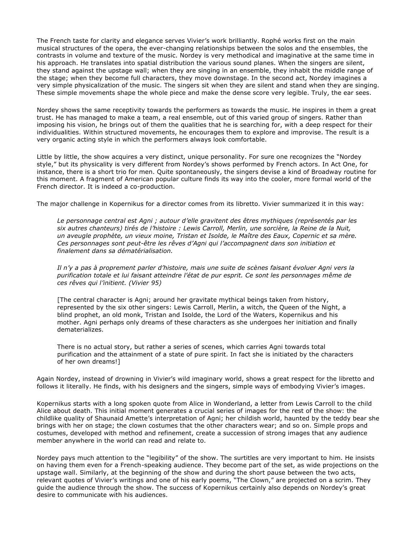The French taste for clarity and elegance serves Vivier's work brilliantly. Rophé works first on the main musical structures of the opera, the ever-changing relationships between the solos and the ensembles, the contrasts in volume and texture of the music. Nordey is very methodical and imaginative at the same time in his approach. He translates into spatial distribution the various sound planes. When the singers are silent, they stand against the upstage wall; when they are singing in an ensemble, they inhabit the middle range of the stage; when they become full characters, they move downstage. In the second act, Nordey imagines a very simple physicalization of the music. The singers sit when they are silent and stand when they are singing. These simple movements shape the whole piece and make the dense score very legible. Truly, the ear sees.

Nordey shows the same receptivity towards the performers as towards the music. He inspires in them a great trust. He has managed to make a team, a real ensemble, out of this varied group of singers. Rather than imposing his vision, he brings out of them the qualities that he is searching for, with a deep respect for their individualities. Within structured movements, he encourages them to explore and improvise. The result is a very organic acting style in which the performers always look comfortable.

Little by little, the show acquires a very distinct, unique personality. For sure one recognizes the "Nordey style," but its physicality is very different from Nordey's shows performed by French actors. In Act One, for instance, there is a short trio for men. Quite spontaneously, the singers devise a kind of Broadway routine for this moment. A fragment of American popular culture finds its way into the cooler, more formal world of the French director. It is indeed a co-production.

The major challenge in Kopernikus for a director comes from its libretto. Vivier summarized it in this way:

*Le personnage central est Agni ; autour d'elle gravitent des êtres mythiques (représentés par les six autres chanteurs) tirés de l'histoire : Lewis Carroll, Merlin, une sorcière, la Reine de la Nuit, un aveugle prophète, un vieux moine, Tristan et Isolde, le Maître des Eaux, Copernic et sa mère. Ces personnages sont peut-être les rêves d'Agni qui l'accompagnent dans son initiation et finalement dans sa dématérialisation.*

*Il n'y a pas à proprement parler d'histoire, mais une suite de scènes faisant évoluer Agni vers la purification totale et lui faisant atteindre l'état de pur esprit. Ce sont les personnages même de ces rêves qui l'initient. (Vivier 95)*

[The central character is Agni; around her gravitate mythical beings taken from history, represented by the six other singers: Lewis Carroll, Merlin, a witch, the Queen of the Night, a blind prophet, an old monk, Tristan and Isolde, the Lord of the Waters, Kopernikus and his mother. Agni perhaps only dreams of these characters as she undergoes her initiation and finally dematerializes.

There is no actual story, but rather a series of scenes, which carries Agni towards total purification and the attainment of a state of pure spirit. In fact she is initiated by the characters of her own dreams!]

Again Nordey, instead of drowning in Vivier's wild imaginary world, shows a great respect for the libretto and follows it literally. He finds, with his designers and the singers, simple ways of embodying Vivier's images.

Kopernikus starts with a long spoken quote from Alice in Wonderland, a letter from Lewis Carroll to the child Alice about death. This initial moment generates a crucial series of images for the rest of the show: the childlike quality of Shaunaid Amette's interpretation of Agni; her childish world, haunted by the teddy bear she brings with her on stage; the clown costumes that the other characters wear; and so on. Simple props and costumes, developed with method and refinement, create a succession of strong images that any audience member anywhere in the world can read and relate to.

Nordey pays much attention to the "legibility" of the show. The surtitles are very important to him. He insists on having them even for a French-speaking audience. They become part of the set, as wide projections on the upstage wall. Similarly, at the beginning of the show and during the short pause between the two acts, relevant quotes of Vivier's writings and one of his early poems, "The Clown," are projected on a scrim. They guide the audience through the show. The success of Kopernikus certainly also depends on Nordey's great desire to communicate with his audiences.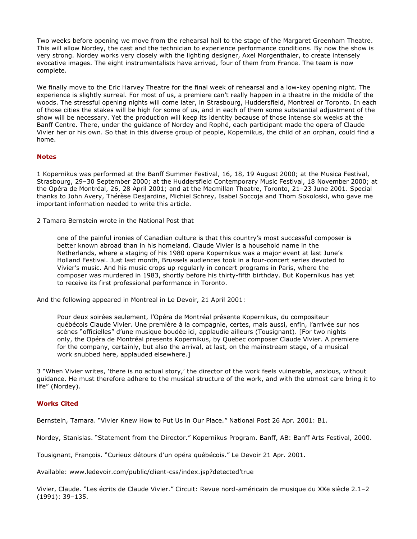Two weeks before opening we move from the rehearsal hall to the stage of the Margaret Greenham Theatre. This will allow Nordey, the cast and the technician to experience performance conditions. By now the show is very strong. Nordey works very closely with the lighting designer, Axel Morgenthaler, to create intensely evocative images. The eight instrumentalists have arrived, four of them from France. The team is now complete.

We finally move to the Eric Harvey Theatre for the final week of rehearsal and a low-key opening night. The experience is slightly surreal. For most of us, a premiere can't really happen in a theatre in the middle of the woods. The stressful opening nights will come later, in Strasbourg, Huddersfield, Montreal or Toronto. In each of those cities the stakes will be high for some of us, and in each of them some substantial adjustment of the show will be necessary. Yet the production will keep its identity because of those intense six weeks at the Banff Centre. There, under the guidance of Nordey and Rophé, each participant made the opera of Claude Vivier her or his own. So that in this diverse group of people, Kopernikus, the child of an orphan, could find a home.

#### **Notes**

1 Kopernikus was performed at the Banff Summer Festival, 16, 18, 19 August 2000; at the Musica Festival, Strasbourg, 29–30 September 2000; at the Huddersfield Contemporary Music Festival, 18 November 2000; at the Opéra de Montréal, 26, 28 April 2001; and at the Macmillan Theatre, Toronto, 21–23 June 2001. Special thanks to John Avery, Thérèse Desjardins, Michiel Schrey, Isabel Soccoja and Thom Sokoloski, who gave me important information needed to write this article.

2 Tamara Bernstein wrote in the National Post that

one of the painful ironies of Canadian culture is that this country's most successful composer is better known abroad than in his homeland. Claude Vivier is a household name in the Netherlands, where a staging of his 1980 opera Kopernikus was a major event at last June's Holland Festival. Just last month, Brussels audiences took in a four-concert series devoted to Vivier's music. And his music crops up regularly in concert programs in Paris, where the composer was murdered in 1983, shortly before his thirty-fifth birthday. But Kopernikus has yet to receive its first professional performance in Toronto.

And the following appeared in Montreal in Le Devoir, 21 April 2001:

Pour deux soirées seulement, l'Opéra de Montréal présente Kopernikus, du compositeur québécois Claude Vivier. Une première à la compagnie, certes, mais aussi, enfin, l'arrivée sur nos scènes "officielles" d'une musique boudée ici, applaudie ailleurs (Tousignant). [For two nights only, the Opéra de Montréal presents Kopernikus, by Quebec composer Claude Vivier. A premiere for the company, certainly, but also the arrival, at last, on the mainstream stage, of a musical work snubbed here, applauded elsewhere.]

3 "When Vivier writes, 'there is no actual story,' the director of the work feels vulnerable, anxious, without guidance. He must therefore adhere to the musical structure of the work, and with the utmost care bring it to life" (Nordey).

#### **Works Cited**

Bernstein, Tamara. "Vivier Knew How to Put Us in Our Place." National Post 26 Apr. 2001: B1.

Nordey, Stanislas. "Statement from the Director." Kopernikus Program. Banff, AB: Banff Arts Festival, 2000.

Tousignant, François. "Curieux détours d'un opéra québécois." Le Devoir 21 Apr. 2001.

Available: www.ledevoir.com/public/client-css/index.jsp?detected'true

Vivier, Claude. "Les écrits de Claude Vivier." Circuit: Revue nord-américain de musique du XXe siècle 2.1–2 (1991): 39–135.